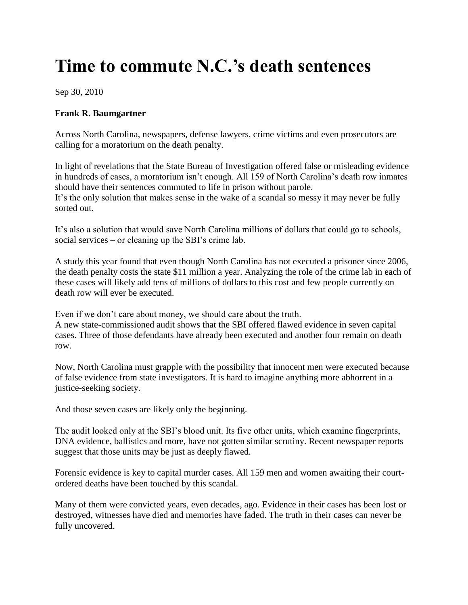## **Time to commute N.C.'s death sentences**

Sep 30, 2010

## **Frank R. Baumgartner**

Across North Carolina, newspapers, defense lawyers, crime victims and even prosecutors are calling for a moratorium on the death penalty.

In light of revelations that the State Bureau of Investigation offered false or misleading evidence in hundreds of cases, a moratorium isn't enough. All 159 of North Carolina's death row inmates should have their sentences commuted to life in prison without parole. It's the only solution that makes sense in the wake of a scandal so messy it may never be fully sorted out.

It's also a solution that would save North Carolina millions of dollars that could go to schools, social services – or cleaning up the SBI's crime lab.

A study this year found that even though North Carolina has not executed a prisoner since 2006, the death penalty costs the state \$11 million a year. Analyzing the role of the crime lab in each of these cases will likely add tens of millions of dollars to this cost and few people currently on death row will ever be executed.

Even if we don't care about money, we should care about the truth.

A new state-commissioned audit shows that the SBI offered flawed evidence in seven capital cases. Three of those defendants have already been executed and another four remain on death row.

Now, North Carolina must grapple with the possibility that innocent men were executed because of false evidence from state investigators. It is hard to imagine anything more abhorrent in a justice-seeking society.

And those seven cases are likely only the beginning.

The audit looked only at the SBI's blood unit. Its five other units, which examine fingerprints, DNA evidence, ballistics and more, have not gotten similar scrutiny. Recent newspaper reports suggest that those units may be just as deeply flawed.

Forensic evidence is key to capital murder cases. All 159 men and women awaiting their courtordered deaths have been touched by this scandal.

Many of them were convicted years, even decades, ago. Evidence in their cases has been lost or destroyed, witnesses have died and memories have faded. The truth in their cases can never be fully uncovered.